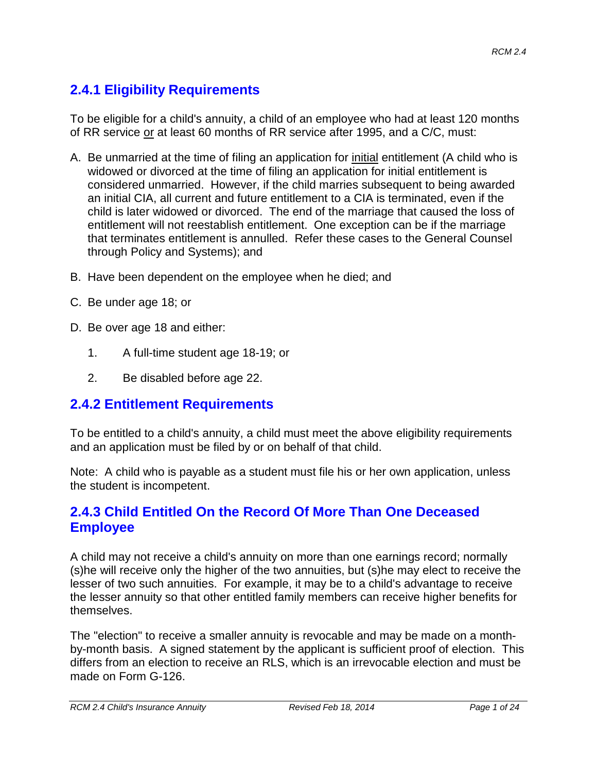# **2.4.1 Eligibility Requirements**

To be eligible for a child's annuity, a child of an employee who had at least 120 months of RR service or at least 60 months of RR service after 1995, and a C/C, must:

- A. Be unmarried at the time of filing an application for initial entitlement (A child who is widowed or divorced at the time of filing an application for initial entitlement is considered unmarried. However, if the child marries subsequent to being awarded an initial CIA, all current and future entitlement to a CIA is terminated, even if the child is later widowed or divorced. The end of the marriage that caused the loss of entitlement will not reestablish entitlement. One exception can be if the marriage that terminates entitlement is annulled. Refer these cases to the General Counsel through Policy and Systems); and
- B. Have been dependent on the employee when he died; and
- C. Be under age 18; or
- D. Be over age 18 and either:
	- 1. A full-time student age 18-19; or
	- 2. Be disabled before age 22.

#### **2.4.2 Entitlement Requirements**

To be entitled to a child's annuity, a child must meet the above eligibility requirements and an application must be filed by or on behalf of that child.

Note: A child who is payable as a student must file his or her own application, unless the student is incompetent.

#### **2.4.3 Child Entitled On the Record Of More Than One Deceased Employee**

A child may not receive a child's annuity on more than one earnings record; normally (s)he will receive only the higher of the two annuities, but (s)he may elect to receive the lesser of two such annuities. For example, it may be to a child's advantage to receive the lesser annuity so that other entitled family members can receive higher benefits for themselves.

The "election" to receive a smaller annuity is revocable and may be made on a monthby-month basis. A signed statement by the applicant is sufficient proof of election. This differs from an election to receive an RLS, which is an irrevocable election and must be made on Form G-126.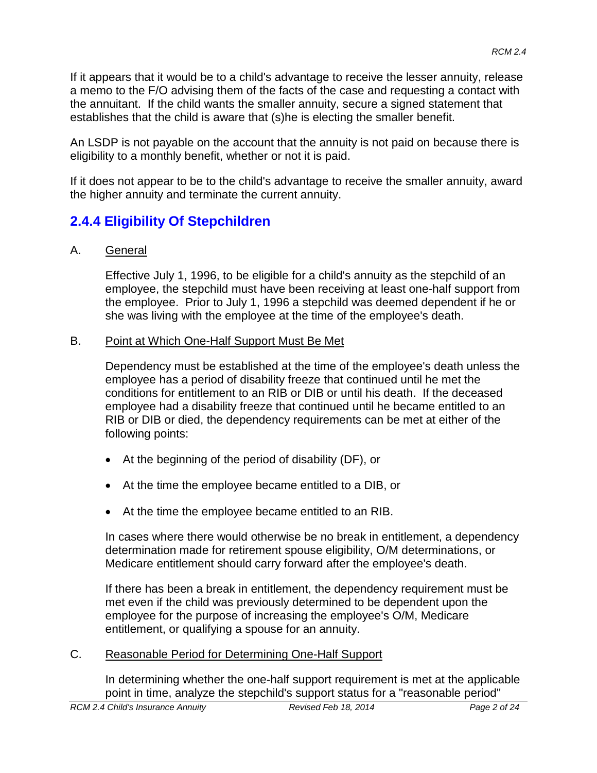If it appears that it would be to a child's advantage to receive the lesser annuity, release a memo to the F/O advising them of the facts of the case and requesting a contact with the annuitant. If the child wants the smaller annuity, secure a signed statement that establishes that the child is aware that (s)he is electing the smaller benefit.

An LSDP is not payable on the account that the annuity is not paid on because there is eligibility to a monthly benefit, whether or not it is paid.

If it does not appear to be to the child's advantage to receive the smaller annuity, award the higher annuity and terminate the current annuity.

# **2.4.4 Eligibility Of Stepchildren**

#### A. General

Effective July 1, 1996, to be eligible for a child's annuity as the stepchild of an employee, the stepchild must have been receiving at least one-half support from the employee. Prior to July 1, 1996 a stepchild was deemed dependent if he or she was living with the employee at the time of the employee's death.

#### B. Point at Which One-Half Support Must Be Met

Dependency must be established at the time of the employee's death unless the employee has a period of disability freeze that continued until he met the conditions for entitlement to an RIB or DIB or until his death. If the deceased employee had a disability freeze that continued until he became entitled to an RIB or DIB or died, the dependency requirements can be met at either of the following points:

- At the beginning of the period of disability (DF), or
- At the time the employee became entitled to a DIB, or
- At the time the employee became entitled to an RIB.

In cases where there would otherwise be no break in entitlement, a dependency determination made for retirement spouse eligibility, O/M determinations, or Medicare entitlement should carry forward after the employee's death.

If there has been a break in entitlement, the dependency requirement must be met even if the child was previously determined to be dependent upon the employee for the purpose of increasing the employee's O/M, Medicare entitlement, or qualifying a spouse for an annuity.

#### C. Reasonable Period for Determining One-Half Support

In determining whether the one-half support requirement is met at the applicable point in time, analyze the stepchild's support status for a "reasonable period"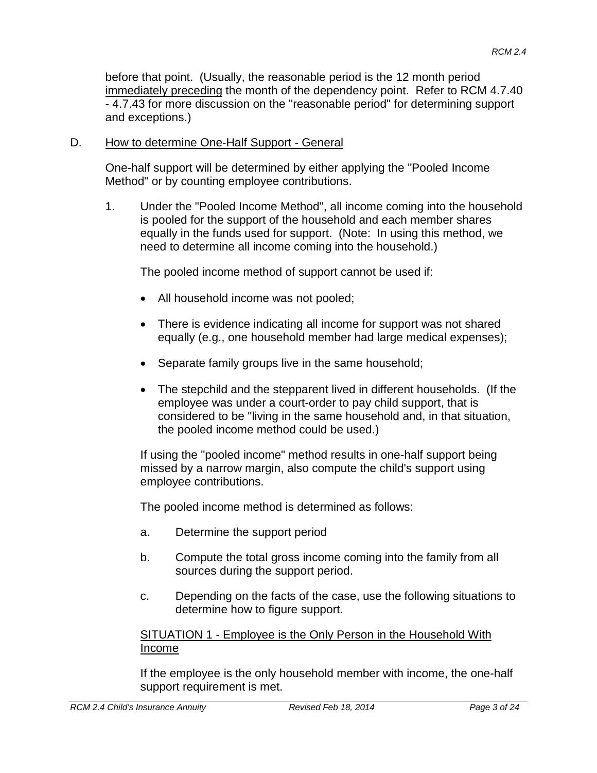before that point. (Usually, the reasonable period is the 12 month period immediately preceding the month of the dependency point. Refer to RCM 4.7.40 - 4.7.43 for more discussion on the "reasonable period" for determining support and exceptions.)

#### D. How to determine One-Half Support - General

One-half support will be determined by either applying the "Pooled Income Method" or by counting employee contributions.

1. Under the "Pooled Income Method", all income coming into the household is pooled for the support of the household and each member shares equally in the funds used for support. (Note: In using this method, we need to determine all income coming into the household.)

The pooled income method of support cannot be used if:

- All household income was not pooled;
- There is evidence indicating all income for support was not shared equally (e.g., one household member had large medical expenses);
- Separate family groups live in the same household;
- The stepchild and the stepparent lived in different households. (If the employee was under a court-order to pay child support, that is considered to be "living in the same household and, in that situation, the pooled income method could be used.)

If using the "pooled income" method results in one-half support being missed by a narrow margin, also compute the child's support using employee contributions.

The pooled income method is determined as follows:

- a. Determine the support period
- b. Compute the total gross income coming into the family from all sources during the support period.
- c. Depending on the facts of the case, use the following situations to determine how to figure support.

#### SITUATION 1 - Employee is the Only Person in the Household With Income

If the employee is the only household member with income, the one-half support requirement is met.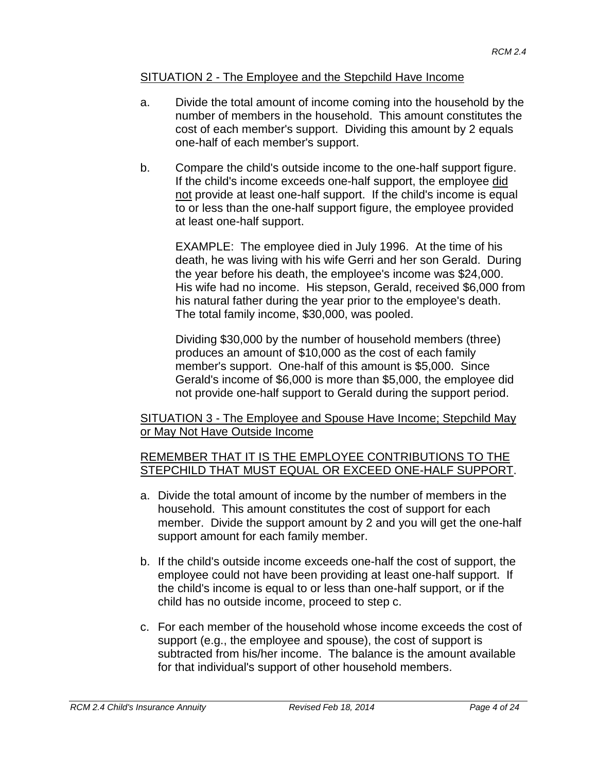#### SITUATION 2 - The Employee and the Stepchild Have Income

- a. Divide the total amount of income coming into the household by the number of members in the household. This amount constitutes the cost of each member's support. Dividing this amount by 2 equals one-half of each member's support.
- b. Compare the child's outside income to the one-half support figure. If the child's income exceeds one-half support, the employee did not provide at least one-half support. If the child's income is equal to or less than the one-half support figure, the employee provided at least one-half support.

EXAMPLE: The employee died in July 1996. At the time of his death, he was living with his wife Gerri and her son Gerald. During the year before his death, the employee's income was \$24,000. His wife had no income. His stepson, Gerald, received \$6,000 from his natural father during the year prior to the employee's death. The total family income, \$30,000, was pooled.

Dividing \$30,000 by the number of household members (three) produces an amount of \$10,000 as the cost of each family member's support. One-half of this amount is \$5,000. Since Gerald's income of \$6,000 is more than \$5,000, the employee did not provide one-half support to Gerald during the support period.

SITUATION 3 - The Employee and Spouse Have Income; Stepchild May or May Not Have Outside Income

#### REMEMBER THAT IT IS THE EMPLOYEE CONTRIBUTIONS TO THE STEPCHILD THAT MUST EQUAL OR EXCEED ONE-HALF SUPPORT.

- a. Divide the total amount of income by the number of members in the household. This amount constitutes the cost of support for each member. Divide the support amount by 2 and you will get the one-half support amount for each family member.
- b. If the child's outside income exceeds one-half the cost of support, the employee could not have been providing at least one-half support. If the child's income is equal to or less than one-half support, or if the child has no outside income, proceed to step c.
- c. For each member of the household whose income exceeds the cost of support (e.g., the employee and spouse), the cost of support is subtracted from his/her income. The balance is the amount available for that individual's support of other household members.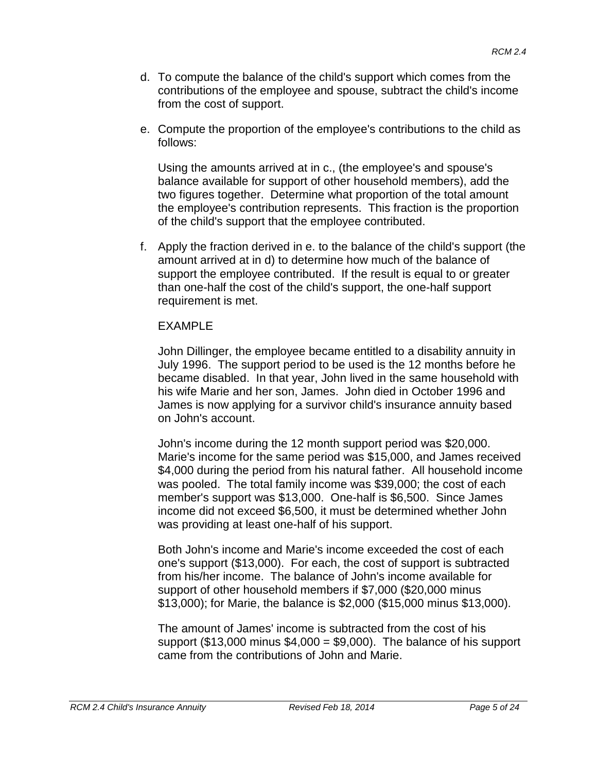- d. To compute the balance of the child's support which comes from the contributions of the employee and spouse, subtract the child's income from the cost of support.
- e. Compute the proportion of the employee's contributions to the child as follows:

Using the amounts arrived at in c., (the employee's and spouse's balance available for support of other household members), add the two figures together. Determine what proportion of the total amount the employee's contribution represents. This fraction is the proportion of the child's support that the employee contributed.

f. Apply the fraction derived in e. to the balance of the child's support (the amount arrived at in d) to determine how much of the balance of support the employee contributed. If the result is equal to or greater than one-half the cost of the child's support, the one-half support requirement is met.

#### EXAMPLE

John Dillinger, the employee became entitled to a disability annuity in July 1996. The support period to be used is the 12 months before he became disabled. In that year, John lived in the same household with his wife Marie and her son, James. John died in October 1996 and James is now applying for a survivor child's insurance annuity based on John's account.

John's income during the 12 month support period was \$20,000. Marie's income for the same period was \$15,000, and James received \$4,000 during the period from his natural father. All household income was pooled. The total family income was \$39,000; the cost of each member's support was \$13,000. One-half is \$6,500. Since James income did not exceed \$6,500, it must be determined whether John was providing at least one-half of his support.

Both John's income and Marie's income exceeded the cost of each one's support (\$13,000). For each, the cost of support is subtracted from his/her income. The balance of John's income available for support of other household members if \$7,000 (\$20,000 minus \$13,000); for Marie, the balance is \$2,000 (\$15,000 minus \$13,000).

The amount of James' income is subtracted from the cost of his support (\$13,000 minus  $$4,000 = $9,000$ ). The balance of his support came from the contributions of John and Marie.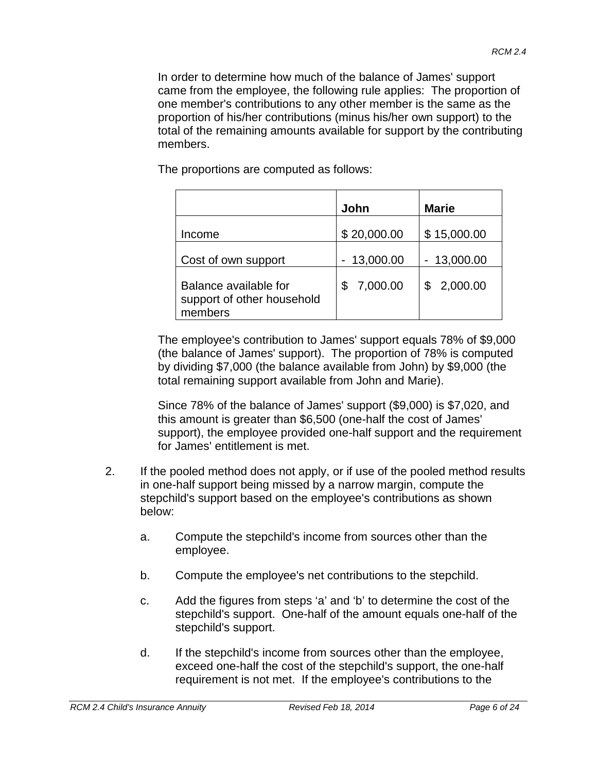In order to determine how much of the balance of James' support came from the employee, the following rule applies: The proportion of one member's contributions to any other member is the same as the proportion of his/her contributions (minus his/her own support) to the total of the remaining amounts available for support by the contributing members.

The proportions are computed as follows:

|                                                                | John         | <b>Marie</b> |
|----------------------------------------------------------------|--------------|--------------|
| Income                                                         | \$20,000.00  | \$15,000.00  |
| Cost of own support                                            | $-13,000.00$ | $-13,000.00$ |
| Balance available for<br>support of other household<br>members | 7,000.00     | 2,000.00     |

The employee's contribution to James' support equals 78% of \$9,000 (the balance of James' support). The proportion of 78% is computed by dividing \$7,000 (the balance available from John) by \$9,000 (the total remaining support available from John and Marie).

Since 78% of the balance of James' support (\$9,000) is \$7,020, and this amount is greater than \$6,500 (one-half the cost of James' support), the employee provided one-half support and the requirement for James' entitlement is met.

- 2. If the pooled method does not apply, or if use of the pooled method results in one-half support being missed by a narrow margin, compute the stepchild's support based on the employee's contributions as shown below:
	- a. Compute the stepchild's income from sources other than the employee.
	- b. Compute the employee's net contributions to the stepchild.
	- c. Add the figures from steps 'a' and 'b' to determine the cost of the stepchild's support. One-half of the amount equals one-half of the stepchild's support.
	- d. If the stepchild's income from sources other than the employee, exceed one-half the cost of the stepchild's support, the one-half requirement is not met. If the employee's contributions to the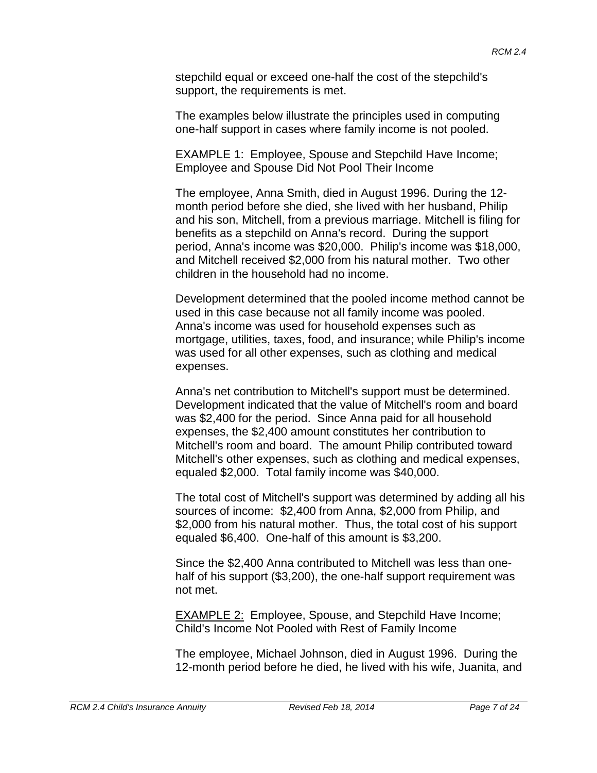stepchild equal or exceed one-half the cost of the stepchild's support, the requirements is met.

The examples below illustrate the principles used in computing one-half support in cases where family income is not pooled.

EXAMPLE 1: Employee, Spouse and Stepchild Have Income; Employee and Spouse Did Not Pool Their Income

The employee, Anna Smith, died in August 1996. During the 12 month period before she died, she lived with her husband, Philip and his son, Mitchell, from a previous marriage. Mitchell is filing for benefits as a stepchild on Anna's record. During the support period, Anna's income was \$20,000. Philip's income was \$18,000, and Mitchell received \$2,000 from his natural mother. Two other children in the household had no income.

Development determined that the pooled income method cannot be used in this case because not all family income was pooled. Anna's income was used for household expenses such as mortgage, utilities, taxes, food, and insurance; while Philip's income was used for all other expenses, such as clothing and medical expenses.

Anna's net contribution to Mitchell's support must be determined. Development indicated that the value of Mitchell's room and board was \$2,400 for the period. Since Anna paid for all household expenses, the \$2,400 amount constitutes her contribution to Mitchell's room and board. The amount Philip contributed toward Mitchell's other expenses, such as clothing and medical expenses, equaled \$2,000. Total family income was \$40,000.

The total cost of Mitchell's support was determined by adding all his sources of income: \$2,400 from Anna, \$2,000 from Philip, and \$2,000 from his natural mother. Thus, the total cost of his support equaled \$6,400. One-half of this amount is \$3,200.

Since the \$2,400 Anna contributed to Mitchell was less than onehalf of his support (\$3,200), the one-half support requirement was not met.

EXAMPLE 2: Employee, Spouse, and Stepchild Have Income; Child's Income Not Pooled with Rest of Family Income

The employee, Michael Johnson, died in August 1996. During the 12-month period before he died, he lived with his wife, Juanita, and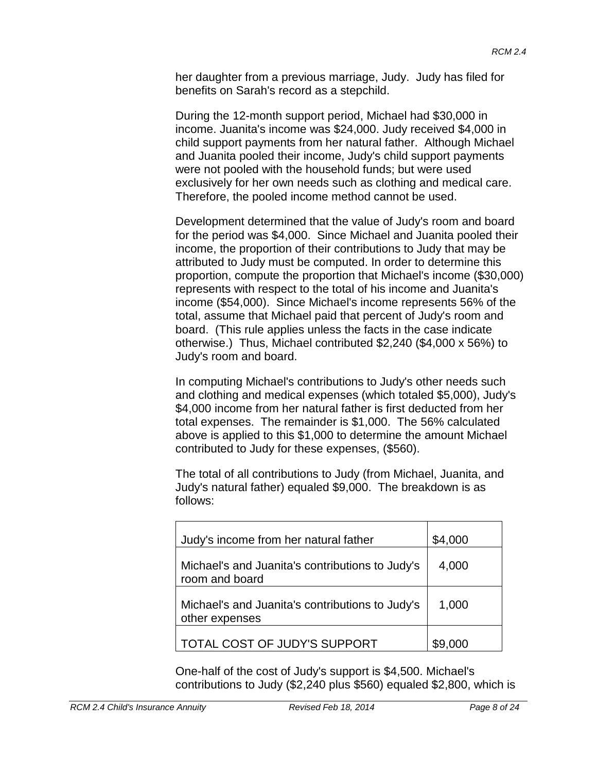her daughter from a previous marriage, Judy. Judy has filed for benefits on Sarah's record as a stepchild.

During the 12-month support period, Michael had \$30,000 in income. Juanita's income was \$24,000. Judy received \$4,000 in child support payments from her natural father. Although Michael and Juanita pooled their income, Judy's child support payments were not pooled with the household funds; but were used exclusively for her own needs such as clothing and medical care. Therefore, the pooled income method cannot be used.

Development determined that the value of Judy's room and board for the period was \$4,000. Since Michael and Juanita pooled their income, the proportion of their contributions to Judy that may be attributed to Judy must be computed. In order to determine this proportion, compute the proportion that Michael's income (\$30,000) represents with respect to the total of his income and Juanita's income (\$54,000). Since Michael's income represents 56% of the total, assume that Michael paid that percent of Judy's room and board. (This rule applies unless the facts in the case indicate otherwise.) Thus, Michael contributed \$2,240 (\$4,000 x 56%) to Judy's room and board.

In computing Michael's contributions to Judy's other needs such and clothing and medical expenses (which totaled \$5,000), Judy's \$4,000 income from her natural father is first deducted from her total expenses. The remainder is \$1,000. The 56% calculated above is applied to this \$1,000 to determine the amount Michael contributed to Judy for these expenses, (\$560).

The total of all contributions to Judy (from Michael, Juanita, and Judy's natural father) equaled \$9,000. The breakdown is as follows:

| Judy's income from her natural father                             | \$4,000 |
|-------------------------------------------------------------------|---------|
| Michael's and Juanita's contributions to Judy's<br>room and board | 4,000   |
| Michael's and Juanita's contributions to Judy's<br>other expenses | 1,000   |
| TOTAL COST OF JUDY'S SUPPORT                                      |         |

One-half of the cost of Judy's support is \$4,500. Michael's contributions to Judy (\$2,240 plus \$560) equaled \$2,800, which is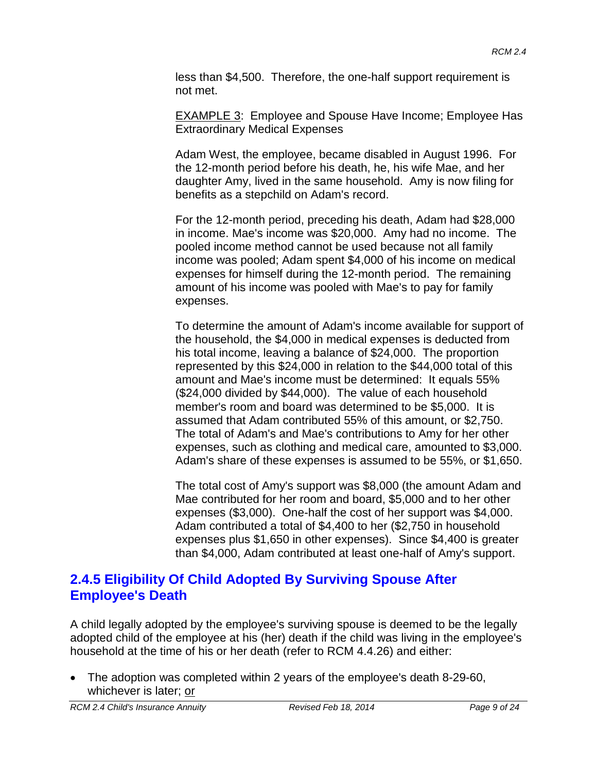less than \$4,500. Therefore, the one-half support requirement is not met.

**EXAMPLE 3: Employee and Spouse Have Income; Employee Has** Extraordinary Medical Expenses

Adam West, the employee, became disabled in August 1996. For the 12-month period before his death, he, his wife Mae, and her daughter Amy, lived in the same household. Amy is now filing for benefits as a stepchild on Adam's record.

For the 12-month period, preceding his death, Adam had \$28,000 in income. Mae's income was \$20,000. Amy had no income. The pooled income method cannot be used because not all family income was pooled; Adam spent \$4,000 of his income on medical expenses for himself during the 12-month period. The remaining amount of his income was pooled with Mae's to pay for family expenses.

To determine the amount of Adam's income available for support of the household, the \$4,000 in medical expenses is deducted from his total income, leaving a balance of \$24,000. The proportion represented by this \$24,000 in relation to the \$44,000 total of this amount and Mae's income must be determined: It equals 55% (\$24,000 divided by \$44,000). The value of each household member's room and board was determined to be \$5,000. It is assumed that Adam contributed 55% of this amount, or \$2,750. The total of Adam's and Mae's contributions to Amy for her other expenses, such as clothing and medical care, amounted to \$3,000. Adam's share of these expenses is assumed to be 55%, or \$1,650.

The total cost of Amy's support was \$8,000 (the amount Adam and Mae contributed for her room and board, \$5,000 and to her other expenses (\$3,000). One-half the cost of her support was \$4,000. Adam contributed a total of \$4,400 to her (\$2,750 in household expenses plus \$1,650 in other expenses). Since \$4,400 is greater than \$4,000, Adam contributed at least one-half of Amy's support.

# **2.4.5 Eligibility Of Child Adopted By Surviving Spouse After Employee's Death**

A child legally adopted by the employee's surviving spouse is deemed to be the legally adopted child of the employee at his (her) death if the child was living in the employee's household at the time of his or her death (refer to RCM 4.4.26) and either:

• The adoption was completed within 2 years of the employee's death 8-29-60, whichever is later; or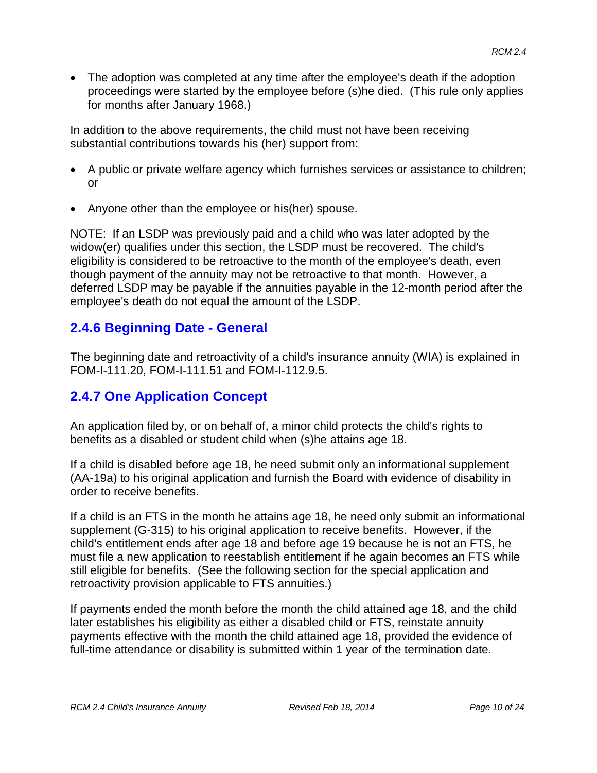• The adoption was completed at any time after the employee's death if the adoption proceedings were started by the employee before (s)he died. (This rule only applies for months after January 1968.)

In addition to the above requirements, the child must not have been receiving substantial contributions towards his (her) support from:

- A public or private welfare agency which furnishes services or assistance to children; or
- Anyone other than the employee or his(her) spouse.

NOTE: If an LSDP was previously paid and a child who was later adopted by the widow(er) qualifies under this section, the LSDP must be recovered. The child's eligibility is considered to be retroactive to the month of the employee's death, even though payment of the annuity may not be retroactive to that month. However, a deferred LSDP may be payable if the annuities payable in the 12-month period after the employee's death do not equal the amount of the LSDP.

#### **2.4.6 Beginning Date - General**

The beginning date and retroactivity of a child's insurance annuity (WIA) is explained in FOM-I-111.20, FOM-I-111.51 and FOM-I-112.9.5.

# **2.4.7 One Application Concept**

An application filed by, or on behalf of, a minor child protects the child's rights to benefits as a disabled or student child when (s)he attains age 18.

If a child is disabled before age 18, he need submit only an informational supplement (AA-19a) to his original application and furnish the Board with evidence of disability in order to receive benefits.

If a child is an FTS in the month he attains age 18, he need only submit an informational supplement (G-315) to his original application to receive benefits. However, if the child's entitlement ends after age 18 and before age 19 because he is not an FTS, he must file a new application to reestablish entitlement if he again becomes an FTS while still eligible for benefits. (See the following section for the special application and retroactivity provision applicable to FTS annuities.)

If payments ended the month before the month the child attained age 18, and the child later establishes his eligibility as either a disabled child or FTS, reinstate annuity payments effective with the month the child attained age 18, provided the evidence of full-time attendance or disability is submitted within 1 year of the termination date.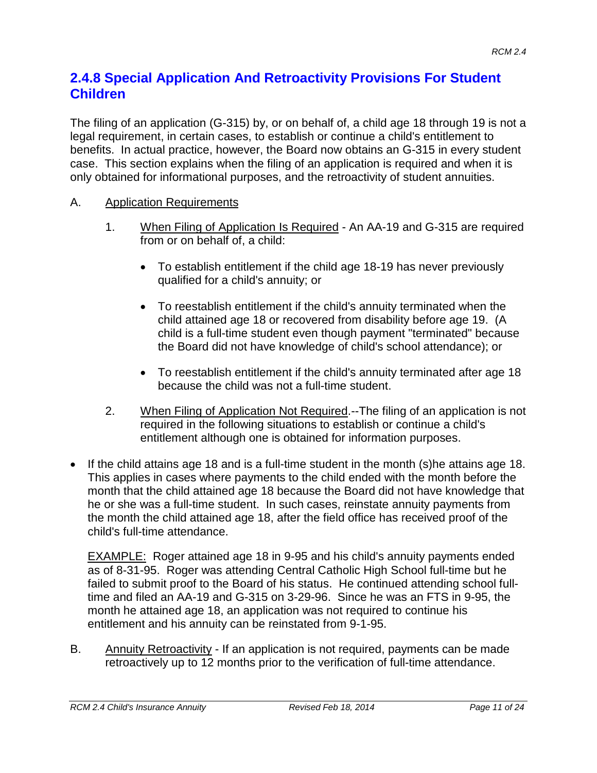#### **2.4.8 Special Application And Retroactivity Provisions For Student Children**

The filing of an application (G-315) by, or on behalf of, a child age 18 through 19 is not a legal requirement, in certain cases, to establish or continue a child's entitlement to benefits. In actual practice, however, the Board now obtains an G-315 in every student case. This section explains when the filing of an application is required and when it is only obtained for informational purposes, and the retroactivity of student annuities.

#### A. Application Requirements

- 1. When Filing of Application Is Required An AA-19 and G-315 are required from or on behalf of, a child:
	- To establish entitlement if the child age 18-19 has never previously qualified for a child's annuity; or
	- To reestablish entitlement if the child's annuity terminated when the child attained age 18 or recovered from disability before age 19. (A child is a full-time student even though payment "terminated" because the Board did not have knowledge of child's school attendance); or
	- To reestablish entitlement if the child's annuity terminated after age 18 because the child was not a full-time student.
- 2. When Filing of Application Not Required.--The filing of an application is not required in the following situations to establish or continue a child's entitlement although one is obtained for information purposes.
- If the child attains age 18 and is a full-time student in the month (s)he attains age 18. This applies in cases where payments to the child ended with the month before the month that the child attained age 18 because the Board did not have knowledge that he or she was a full-time student. In such cases, reinstate annuity payments from the month the child attained age 18, after the field office has received proof of the child's full-time attendance.

**EXAMPLE:** Roger attained age 18 in 9-95 and his child's annuity payments ended as of 8-31-95. Roger was attending Central Catholic High School full-time but he failed to submit proof to the Board of his status. He continued attending school fulltime and filed an AA-19 and G-315 on 3-29-96. Since he was an FTS in 9-95, the month he attained age 18, an application was not required to continue his entitlement and his annuity can be reinstated from 9-1-95.

B. Annuity Retroactivity - If an application is not required, payments can be made retroactively up to 12 months prior to the verification of full-time attendance.

*RCM 2.4 Child's Insurance Annuity Revised Feb 18, 2014 Page 11 of 24*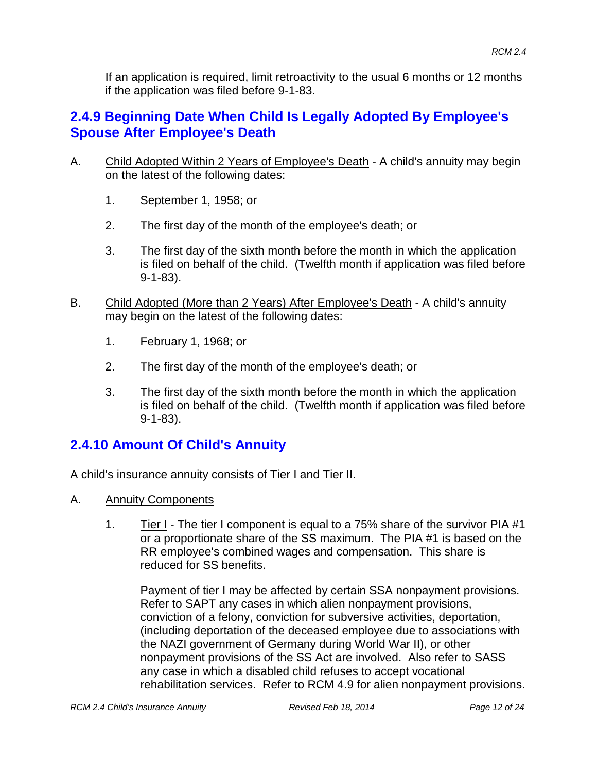If an application is required, limit retroactivity to the usual 6 months or 12 months if the application was filed before 9-1-83.

# **2.4.9 Beginning Date When Child Is Legally Adopted By Employee's Spouse After Employee's Death**

- A. Child Adopted Within 2 Years of Employee's Death A child's annuity may begin on the latest of the following dates:
	- 1. September 1, 1958; or
	- 2. The first day of the month of the employee's death; or
	- 3. The first day of the sixth month before the month in which the application is filed on behalf of the child. (Twelfth month if application was filed before 9-1-83).
- B. Child Adopted (More than 2 Years) After Employee's Death A child's annuity may begin on the latest of the following dates:
	- 1. February 1, 1968; or
	- 2. The first day of the month of the employee's death; or
	- 3. The first day of the sixth month before the month in which the application is filed on behalf of the child. (Twelfth month if application was filed before 9-1-83).

# **2.4.10 Amount Of Child's Annuity**

A child's insurance annuity consists of Tier I and Tier II.

- A. Annuity Components
	- 1. Tier I The tier I component is equal to a 75% share of the survivor PIA #1 or a proportionate share of the SS maximum. The PIA #1 is based on the RR employee's combined wages and compensation. This share is reduced for SS benefits.

Payment of tier I may be affected by certain SSA nonpayment provisions. Refer to SAPT any cases in which alien nonpayment provisions, conviction of a felony, conviction for subversive activities, deportation, (including deportation of the deceased employee due to associations with the NAZI government of Germany during World War II), or other nonpayment provisions of the SS Act are involved. Also refer to SASS any case in which a disabled child refuses to accept vocational rehabilitation services. Refer to RCM 4.9 for alien nonpayment provisions.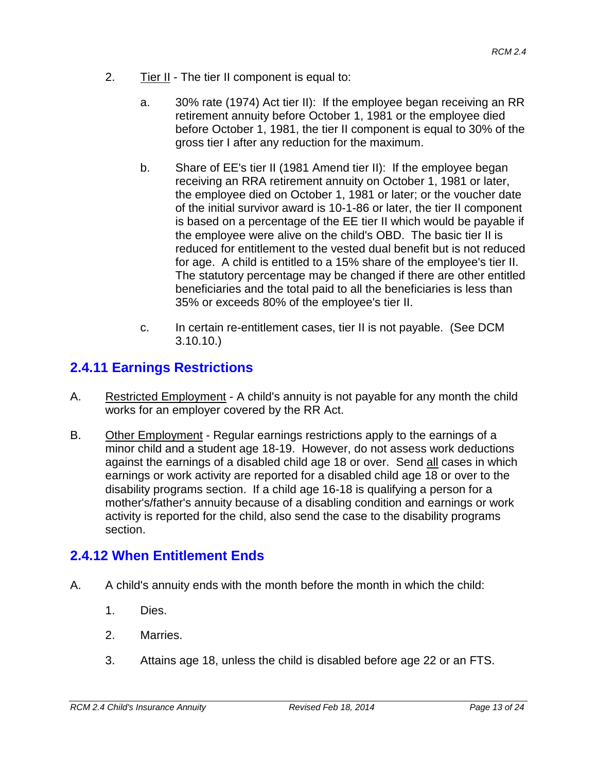- 2. Tier II The tier II component is equal to:
	- a. 30% rate (1974) Act tier II): If the employee began receiving an RR retirement annuity before October 1, 1981 or the employee died before October 1, 1981, the tier II component is equal to 30% of the gross tier I after any reduction for the maximum.
	- b. Share of EE's tier II (1981 Amend tier II): If the employee began receiving an RRA retirement annuity on October 1, 1981 or later, the employee died on October 1, 1981 or later; or the voucher date of the initial survivor award is 10-1-86 or later, the tier II component is based on a percentage of the EE tier II which would be payable if the employee were alive on the child's OBD. The basic tier II is reduced for entitlement to the vested dual benefit but is not reduced for age. A child is entitled to a 15% share of the employee's tier II. The statutory percentage may be changed if there are other entitled beneficiaries and the total paid to all the beneficiaries is less than 35% or exceeds 80% of the employee's tier II.
	- c. In certain re-entitlement cases, tier II is not payable. (See DCM 3.10.10.)

# **2.4.11 Earnings Restrictions**

- A. Restricted Employment A child's annuity is not payable for any month the child works for an employer covered by the RR Act.
- B. Other Employment Regular earnings restrictions apply to the earnings of a minor child and a student age 18-19. However, do not assess work deductions against the earnings of a disabled child age 18 or over. Send all cases in which earnings or work activity are reported for a disabled child age 18 or over to the disability programs section. If a child age 16-18 is qualifying a person for a mother's/father's annuity because of a disabling condition and earnings or work activity is reported for the child, also send the case to the disability programs section.

# **2.4.12 When Entitlement Ends**

- A. A child's annuity ends with the month before the month in which the child:
	- 1. Dies.
	- 2. Marries.
	- 3. Attains age 18, unless the child is disabled before age 22 or an FTS.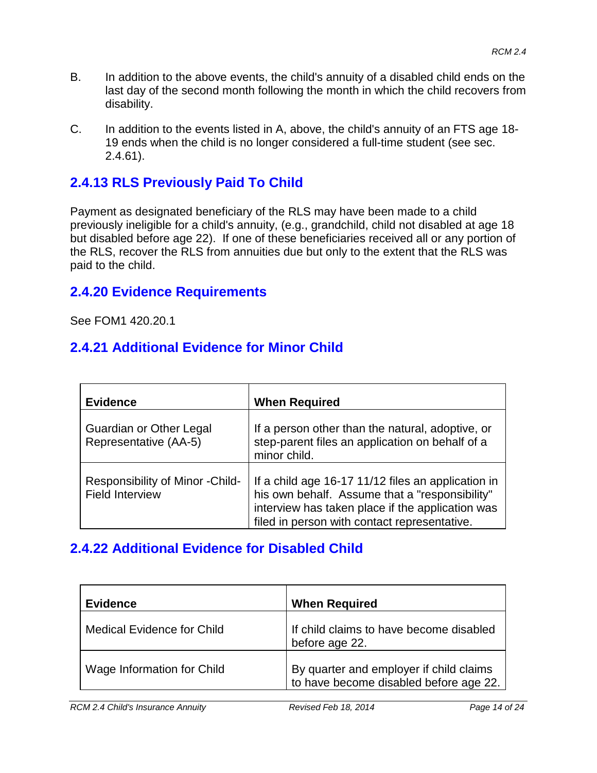- B. In addition to the above events, the child's annuity of a disabled child ends on the last day of the second month following the month in which the child recovers from disability.
- C. In addition to the events listed in A, above, the child's annuity of an FTS age 18- 19 ends when the child is no longer considered a full-time student (see sec. 2.4.61).

# **2.4.13 RLS Previously Paid To Child**

Payment as designated beneficiary of the RLS may have been made to a child previously ineligible for a child's annuity, (e.g., grandchild, child not disabled at age 18 but disabled before age 22). If one of these beneficiaries received all or any portion of the RLS, recover the RLS from annuities due but only to the extent that the RLS was paid to the child.

#### **2.4.20 Evidence Requirements**

See FOM1 420.20.1

### **2.4.21 Additional Evidence for Minor Child**

| <b>Evidence</b>                                            | <b>When Required</b>                                                                                                                                                                                     |
|------------------------------------------------------------|----------------------------------------------------------------------------------------------------------------------------------------------------------------------------------------------------------|
| Guardian or Other Legal<br>Representative (AA-5)           | If a person other than the natural, adoptive, or<br>step-parent files an application on behalf of a<br>minor child.                                                                                      |
| Responsibility of Minor - Child-<br><b>Field Interview</b> | If a child age 16-17 11/12 files an application in<br>his own behalf. Assume that a "responsibility"<br>interview has taken place if the application was<br>filed in person with contact representative. |

#### **2.4.22 Additional Evidence for Disabled Child**

| <b>Evidence</b>                   | <b>When Required</b>                                                              |
|-----------------------------------|-----------------------------------------------------------------------------------|
| <b>Medical Evidence for Child</b> | If child claims to have become disabled<br>before age 22.                         |
| Wage Information for Child        | By quarter and employer if child claims<br>to have become disabled before age 22. |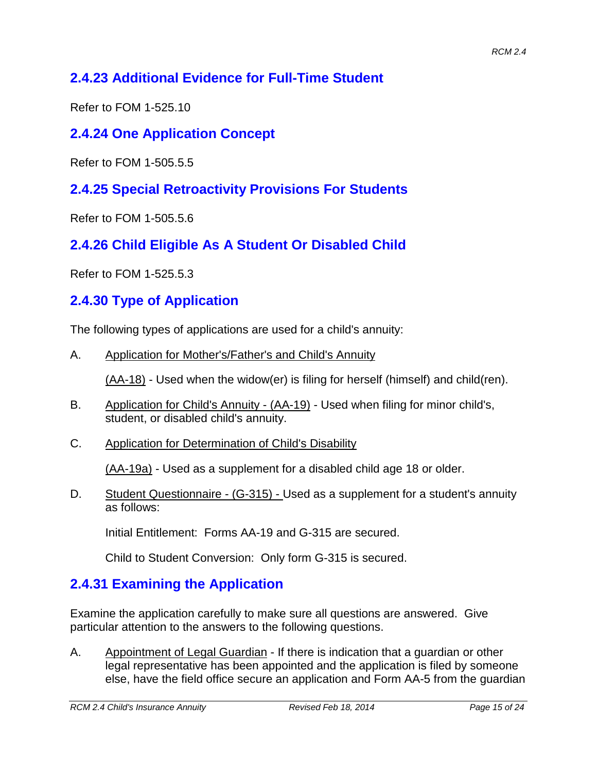# **2.4.23 Additional Evidence for Full-Time Student**

Refer to FOM 1-525.10

# **2.4.24 One Application Concept**

Refer to FOM 1-505.5.5

### **2.4.25 Special Retroactivity Provisions For Students**

Refer to FOM 1-505.5.6

# **2.4.26 Child Eligible As A Student Or Disabled Child**

Refer to FOM 1-525.5.3

# **2.4.30 Type of Application**

The following types of applications are used for a child's annuity:

A. Application for Mother's/Father's and Child's Annuity

(AA-18) - Used when the widow(er) is filing for herself (himself) and child(ren).

- B. Application for Child's Annuity (AA-19) Used when filing for minor child's, student, or disabled child's annuity.
- C. Application for Determination of Child's Disability

(AA-19a) - Used as a supplement for a disabled child age 18 or older.

D. Student Questionnaire - (G-315) - Used as a supplement for a student's annuity as follows:

Initial Entitlement: Forms AA-19 and G-315 are secured.

Child to Student Conversion: Only form G-315 is secured.

# **2.4.31 Examining the Application**

Examine the application carefully to make sure all questions are answered. Give particular attention to the answers to the following questions.

A. Appointment of Legal Guardian - If there is indication that a guardian or other legal representative has been appointed and the application is filed by someone else, have the field office secure an application and Form AA-5 from the guardian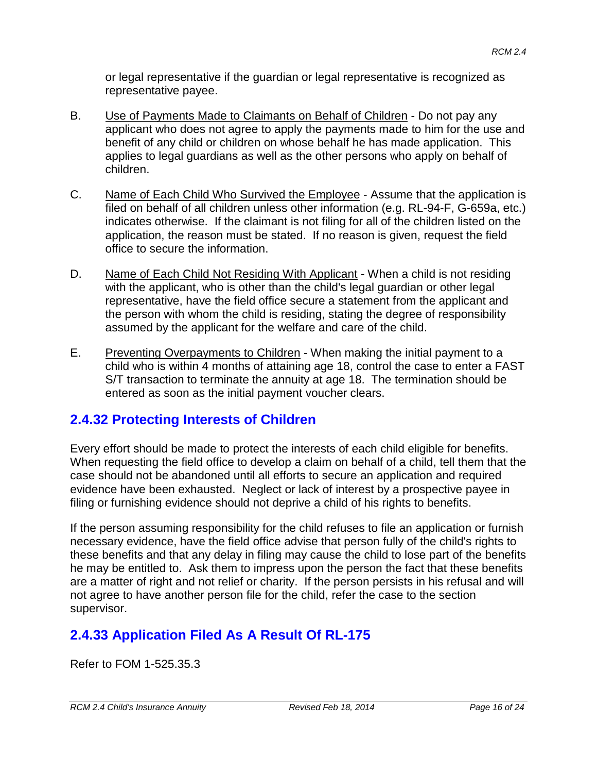or legal representative if the guardian or legal representative is recognized as representative payee.

- B. Use of Payments Made to Claimants on Behalf of Children Do not pay any applicant who does not agree to apply the payments made to him for the use and benefit of any child or children on whose behalf he has made application. This applies to legal guardians as well as the other persons who apply on behalf of children.
- C. Name of Each Child Who Survived the Employee Assume that the application is filed on behalf of all children unless other information (e.g. RL-94-F, G-659a, etc.) indicates otherwise. If the claimant is not filing for all of the children listed on the application, the reason must be stated. If no reason is given, request the field office to secure the information.
- D. Name of Each Child Not Residing With Applicant When a child is not residing with the applicant, who is other than the child's legal guardian or other legal representative, have the field office secure a statement from the applicant and the person with whom the child is residing, stating the degree of responsibility assumed by the applicant for the welfare and care of the child.
- E. Preventing Overpayments to Children When making the initial payment to a child who is within 4 months of attaining age 18, control the case to enter a FAST S/T transaction to terminate the annuity at age 18. The termination should be entered as soon as the initial payment voucher clears.

# **2.4.32 Protecting Interests of Children**

Every effort should be made to protect the interests of each child eligible for benefits. When requesting the field office to develop a claim on behalf of a child, tell them that the case should not be abandoned until all efforts to secure an application and required evidence have been exhausted. Neglect or lack of interest by a prospective payee in filing or furnishing evidence should not deprive a child of his rights to benefits.

If the person assuming responsibility for the child refuses to file an application or furnish necessary evidence, have the field office advise that person fully of the child's rights to these benefits and that any delay in filing may cause the child to lose part of the benefits he may be entitled to. Ask them to impress upon the person the fact that these benefits are a matter of right and not relief or charity. If the person persists in his refusal and will not agree to have another person file for the child, refer the case to the section supervisor.

# **2.4.33 Application Filed As A Result Of RL-175**

Refer to FOM 1-525.35.3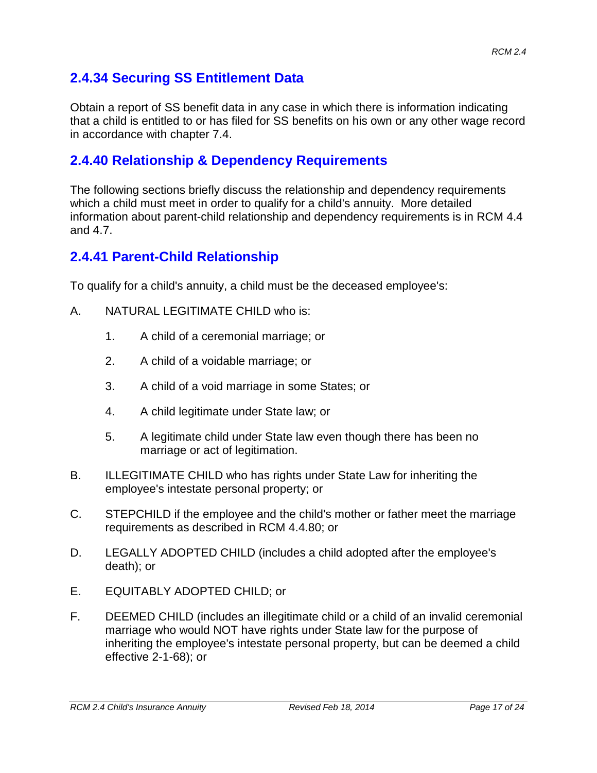### **2.4.34 Securing SS Entitlement Data**

Obtain a report of SS benefit data in any case in which there is information indicating that a child is entitled to or has filed for SS benefits on his own or any other wage record in accordance with chapter 7.4.

#### **2.4.40 Relationship & Dependency Requirements**

The following sections briefly discuss the relationship and dependency requirements which a child must meet in order to qualify for a child's annuity. More detailed information about parent-child relationship and dependency requirements is in RCM 4.4 and 4.7.

#### **2.4.41 Parent-Child Relationship**

To qualify for a child's annuity, a child must be the deceased employee's:

- A. NATURAL LEGITIMATE CHILD who is:
	- 1. A child of a ceremonial marriage; or
	- 2. A child of a voidable marriage; or
	- 3. A child of a void marriage in some States; or
	- 4. A child legitimate under State law; or
	- 5. A legitimate child under State law even though there has been no marriage or act of legitimation.
- B. ILLEGITIMATE CHILD who has rights under State Law for inheriting the employee's intestate personal property; or
- C. STEPCHILD if the employee and the child's mother or father meet the marriage requirements as described in RCM 4.4.80; or
- D. LEGALLY ADOPTED CHILD (includes a child adopted after the employee's death); or
- E. EQUITABLY ADOPTED CHILD; or
- F. DEEMED CHILD (includes an illegitimate child or a child of an invalid ceremonial marriage who would NOT have rights under State law for the purpose of inheriting the employee's intestate personal property, but can be deemed a child effective 2-1-68); or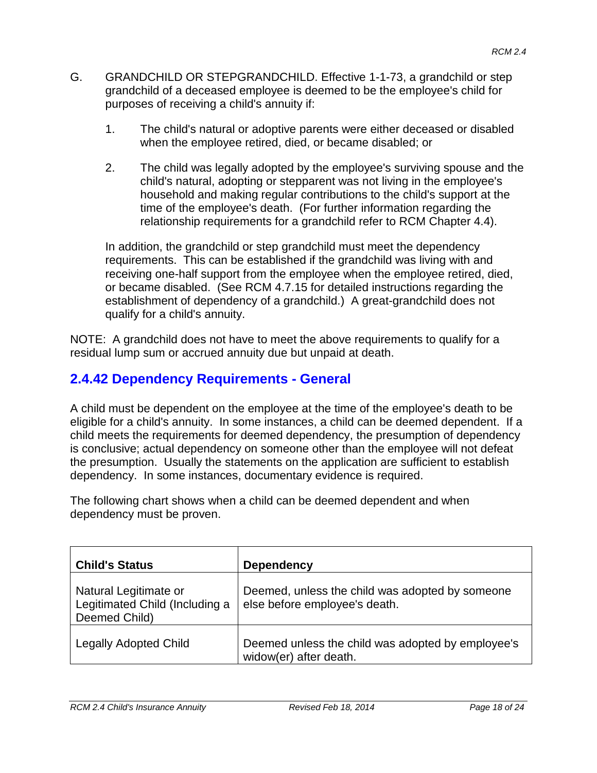- G. GRANDCHILD OR STEPGRANDCHILD. Effective 1-1-73, a grandchild or step grandchild of a deceased employee is deemed to be the employee's child for purposes of receiving a child's annuity if:
	- 1. The child's natural or adoptive parents were either deceased or disabled when the employee retired, died, or became disabled; or
	- 2. The child was legally adopted by the employee's surviving spouse and the child's natural, adopting or stepparent was not living in the employee's household and making regular contributions to the child's support at the time of the employee's death. (For further information regarding the relationship requirements for a grandchild refer to RCM Chapter 4.4).

In addition, the grandchild or step grandchild must meet the dependency requirements. This can be established if the grandchild was living with and receiving one-half support from the employee when the employee retired, died, or became disabled. (See RCM 4.7.15 for detailed instructions regarding the establishment of dependency of a grandchild.) A great-grandchild does not qualify for a child's annuity.

NOTE: A grandchild does not have to meet the above requirements to qualify for a residual lump sum or accrued annuity due but unpaid at death.

### **2.4.42 Dependency Requirements - General**

A child must be dependent on the employee at the time of the employee's death to be eligible for a child's annuity. In some instances, a child can be deemed dependent. If a child meets the requirements for deemed dependency, the presumption of dependency is conclusive; actual dependency on someone other than the employee will not defeat the presumption. Usually the statements on the application are sufficient to establish dependency. In some instances, documentary evidence is required.

The following chart shows when a child can be deemed dependent and when dependency must be proven.

| <b>Child's Status</b>                                                    | <b>Dependency</b>                                                                |
|--------------------------------------------------------------------------|----------------------------------------------------------------------------------|
| Natural Legitimate or<br>Legitimated Child (Including a<br>Deemed Child) | Deemed, unless the child was adopted by someone<br>else before employee's death. |
| <b>Legally Adopted Child</b>                                             | Deemed unless the child was adopted by employee's<br>widow(er) after death.      |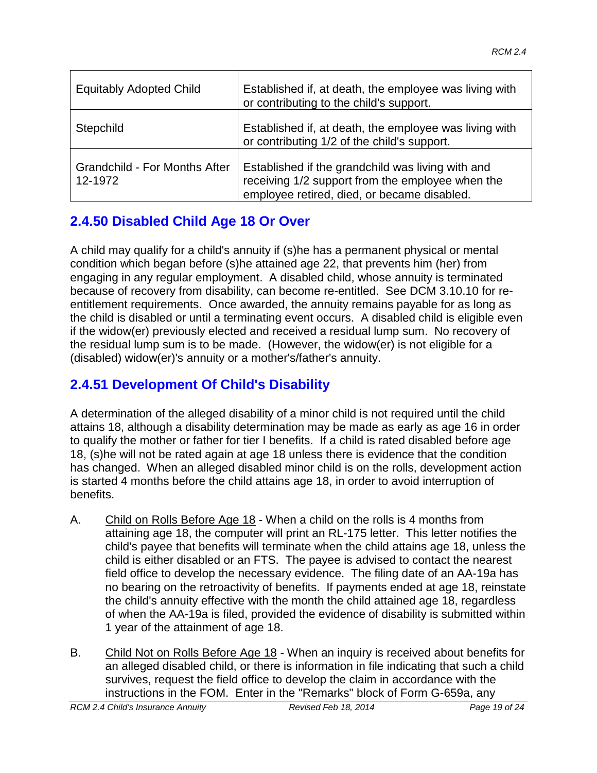| <b>Equitably Adopted Child</b>                  | Established if, at death, the employee was living with<br>or contributing to the child's support.                                                    |
|-------------------------------------------------|------------------------------------------------------------------------------------------------------------------------------------------------------|
| Stepchild                                       | Established if, at death, the employee was living with<br>or contributing 1/2 of the child's support.                                                |
| <b>Grandchild - For Months After</b><br>12-1972 | Established if the grandchild was living with and<br>receiving 1/2 support from the employee when the<br>employee retired, died, or became disabled. |

# **2.4.50 Disabled Child Age 18 Or Over**

A child may qualify for a child's annuity if (s)he has a permanent physical or mental condition which began before (s)he attained age 22, that prevents him (her) from engaging in any regular employment. A disabled child, whose annuity is terminated because of recovery from disability, can become re-entitled. See DCM 3.10.10 for reentitlement requirements. Once awarded, the annuity remains payable for as long as the child is disabled or until a terminating event occurs. A disabled child is eligible even if the widow(er) previously elected and received a residual lump sum. No recovery of the residual lump sum is to be made. (However, the widow(er) is not eligible for a (disabled) widow(er)'s annuity or a mother's/father's annuity.

# **2.4.51 Development Of Child's Disability**

A determination of the alleged disability of a minor child is not required until the child attains 18, although a disability determination may be made as early as age 16 in order to qualify the mother or father for tier I benefits. If a child is rated disabled before age 18, (s)he will not be rated again at age 18 unless there is evidence that the condition has changed. When an alleged disabled minor child is on the rolls, development action is started 4 months before the child attains age 18, in order to avoid interruption of benefits.

- A. Child on Rolls Before Age 18 When a child on the rolls is 4 months from attaining age 18, the computer will print an RL-175 letter. This letter notifies the child's payee that benefits will terminate when the child attains age 18, unless the child is either disabled or an FTS. The payee is advised to contact the nearest field office to develop the necessary evidence. The filing date of an AA-19a has no bearing on the retroactivity of benefits. If payments ended at age 18, reinstate the child's annuity effective with the month the child attained age 18, regardless of when the AA-19a is filed, provided the evidence of disability is submitted within 1 year of the attainment of age 18.
- B. Child Not on Rolls Before Age 18 When an inquiry is received about benefits for an alleged disabled child, or there is information in file indicating that such a child survives, request the field office to develop the claim in accordance with the instructions in the FOM. Enter in the "Remarks" block of Form G-659a, any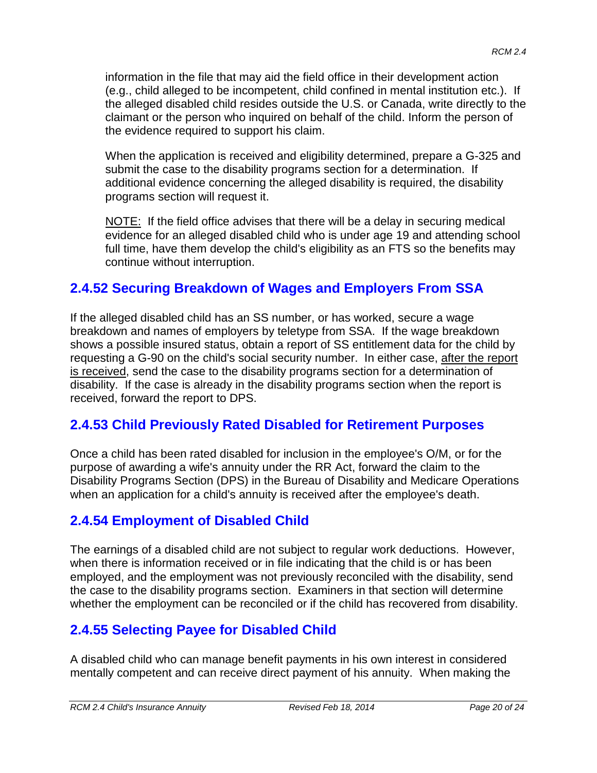information in the file that may aid the field office in their development action (e.g., child alleged to be incompetent, child confined in mental institution etc.). If the alleged disabled child resides outside the U.S. or Canada, write directly to the claimant or the person who inquired on behalf of the child. Inform the person of the evidence required to support his claim.

When the application is received and eligibility determined, prepare a G-325 and submit the case to the disability programs section for a determination. If additional evidence concerning the alleged disability is required, the disability programs section will request it.

NOTE: If the field office advises that there will be a delay in securing medical evidence for an alleged disabled child who is under age 19 and attending school full time, have them develop the child's eligibility as an FTS so the benefits may continue without interruption.

### **2.4.52 Securing Breakdown of Wages and Employers From SSA**

If the alleged disabled child has an SS number, or has worked, secure a wage breakdown and names of employers by teletype from SSA. If the wage breakdown shows a possible insured status, obtain a report of SS entitlement data for the child by requesting a G-90 on the child's social security number. In either case, after the report is received, send the case to the disability programs section for a determination of disability. If the case is already in the disability programs section when the report is received, forward the report to DPS.

#### **2.4.53 Child Previously Rated Disabled for Retirement Purposes**

Once a child has been rated disabled for inclusion in the employee's O/M, or for the purpose of awarding a wife's annuity under the RR Act, forward the claim to the Disability Programs Section (DPS) in the Bureau of Disability and Medicare Operations when an application for a child's annuity is received after the employee's death.

# **2.4.54 Employment of Disabled Child**

The earnings of a disabled child are not subject to regular work deductions. However, when there is information received or in file indicating that the child is or has been employed, and the employment was not previously reconciled with the disability, send the case to the disability programs section. Examiners in that section will determine whether the employment can be reconciled or if the child has recovered from disability.

# **2.4.55 Selecting Payee for Disabled Child**

A disabled child who can manage benefit payments in his own interest in considered mentally competent and can receive direct payment of his annuity. When making the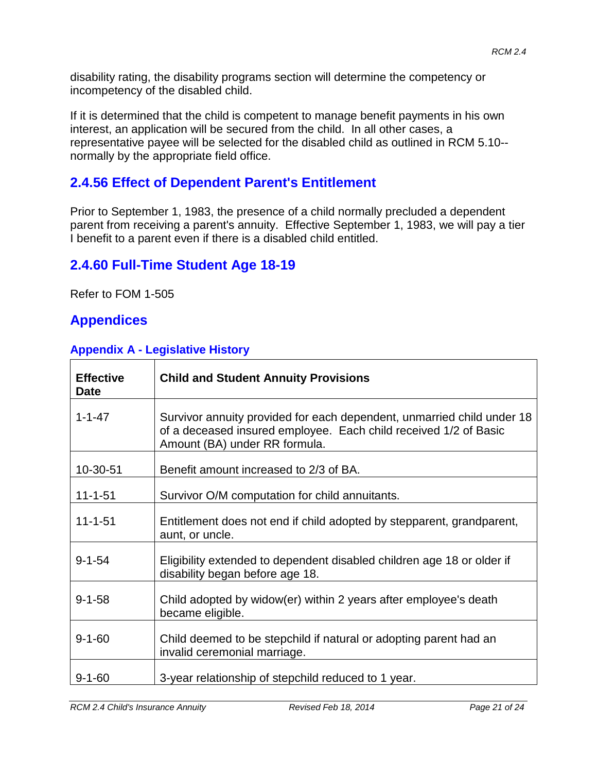disability rating, the disability programs section will determine the competency or incompetency of the disabled child.

If it is determined that the child is competent to manage benefit payments in his own interest, an application will be secured from the child. In all other cases, a representative payee will be selected for the disabled child as outlined in RCM 5.10- normally by the appropriate field office.

# **2.4.56 Effect of Dependent Parent's Entitlement**

Prior to September 1, 1983, the presence of a child normally precluded a dependent parent from receiving a parent's annuity. Effective September 1, 1983, we will pay a tier I benefit to a parent even if there is a disabled child entitled.

### **2.4.60 Full-Time Student Age 18-19**

Refer to FOM 1-505

#### **Appendices**

#### **Appendix A - Legislative History**

| <b>Effective</b><br><b>Date</b> | <b>Child and Student Annuity Provisions</b>                                                                                                                                 |
|---------------------------------|-----------------------------------------------------------------------------------------------------------------------------------------------------------------------------|
| $1 - 1 - 47$                    | Survivor annuity provided for each dependent, unmarried child under 18<br>of a deceased insured employee. Each child received 1/2 of Basic<br>Amount (BA) under RR formula. |
| 10-30-51                        | Benefit amount increased to 2/3 of BA.                                                                                                                                      |
| $11 - 1 - 51$                   | Survivor O/M computation for child annuitants.                                                                                                                              |
| $11 - 1 - 51$                   | Entitlement does not end if child adopted by stepparent, grandparent,<br>aunt, or uncle.                                                                                    |
| $9 - 1 - 54$                    | Eligibility extended to dependent disabled children age 18 or older if<br>disability began before age 18.                                                                   |
| $9 - 1 - 58$                    | Child adopted by widow(er) within 2 years after employee's death<br>became eligible.                                                                                        |
| $9 - 1 - 60$                    | Child deemed to be stepchild if natural or adopting parent had an<br>invalid ceremonial marriage.                                                                           |
| $9 - 1 - 60$                    | 3-year relationship of stepchild reduced to 1 year.                                                                                                                         |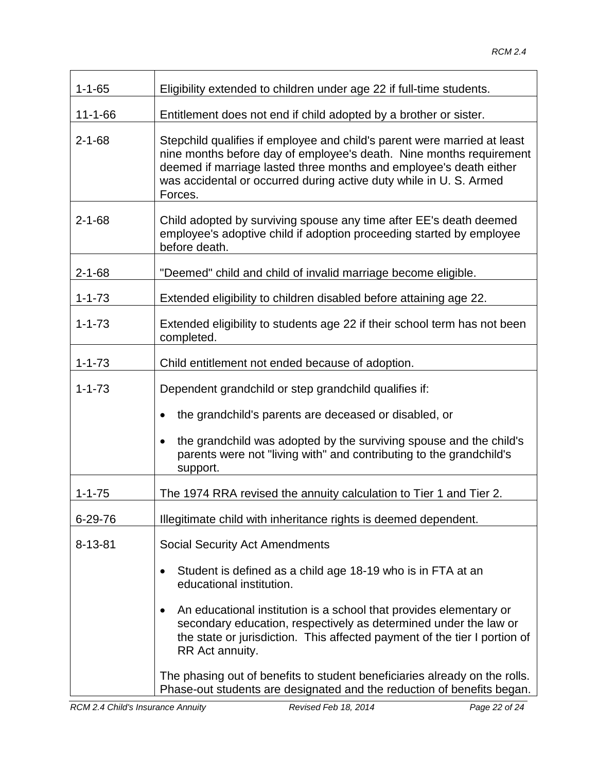| $1 - 1 - 65$  | Eligibility extended to children under age 22 if full-time students.                                                                                                                                                                                                                                   |
|---------------|--------------------------------------------------------------------------------------------------------------------------------------------------------------------------------------------------------------------------------------------------------------------------------------------------------|
| $11 - 1 - 66$ | Entitlement does not end if child adopted by a brother or sister.                                                                                                                                                                                                                                      |
| $2 - 1 - 68$  | Stepchild qualifies if employee and child's parent were married at least<br>nine months before day of employee's death. Nine months requirement<br>deemed if marriage lasted three months and employee's death either<br>was accidental or occurred during active duty while in U. S. Armed<br>Forces. |
| $2 - 1 - 68$  | Child adopted by surviving spouse any time after EE's death deemed<br>employee's adoptive child if adoption proceeding started by employee<br>before death.                                                                                                                                            |
| $2 - 1 - 68$  | "Deemed" child and child of invalid marriage become eligible.                                                                                                                                                                                                                                          |
| $1 - 1 - 73$  | Extended eligibility to children disabled before attaining age 22.                                                                                                                                                                                                                                     |
| $1 - 1 - 73$  | Extended eligibility to students age 22 if their school term has not been<br>completed.                                                                                                                                                                                                                |
| $1 - 1 - 73$  | Child entitlement not ended because of adoption.                                                                                                                                                                                                                                                       |
| $1 - 1 - 73$  | Dependent grandchild or step grandchild qualifies if:                                                                                                                                                                                                                                                  |
|               | the grandchild's parents are deceased or disabled, or                                                                                                                                                                                                                                                  |
|               | the grandchild was adopted by the surviving spouse and the child's<br>parents were not "living with" and contributing to the grandchild's<br>support.                                                                                                                                                  |
| $1 - 1 - 75$  | The 1974 RRA revised the annuity calculation to Tier 1 and Tier 2.                                                                                                                                                                                                                                     |
| 6-29-76       | Illegitimate child with inheritance rights is deemed dependent.                                                                                                                                                                                                                                        |
| $8 - 13 - 81$ | <b>Social Security Act Amendments</b>                                                                                                                                                                                                                                                                  |
|               | Student is defined as a child age 18-19 who is in FTA at an<br>educational institution.                                                                                                                                                                                                                |
|               | An educational institution is a school that provides elementary or<br>$\bullet$<br>secondary education, respectively as determined under the law or<br>the state or jurisdiction. This affected payment of the tier I portion of<br>RR Act annuity.                                                    |
|               | The phasing out of benefits to student beneficiaries already on the rolls.<br>Phase-out students are designated and the reduction of benefits began.                                                                                                                                                   |